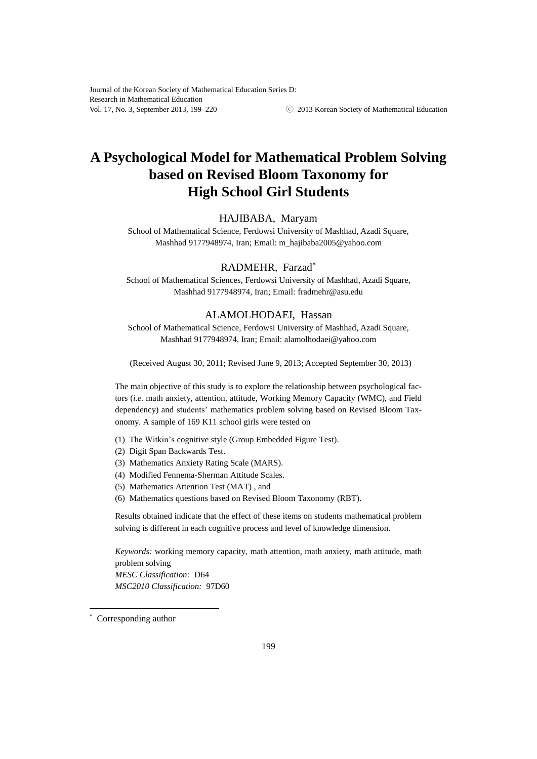# **A Psychological Model for Mathematical Problem Solving based on Revised Bloom Taxonomy for High School Girl Students**

## HAJIBABA, Maryam

School of Mathematical Science, Ferdowsi University of Mashhad, Azadi Square, Mashhad 9177948974, Iran; Email: m\_hajibaba2005@yahoo.com

# RADMEHR, Farzad

School of Mathematical Sciences, Ferdowsi University of Mashhad, Azadi Square, Mashhad 9177948974, Iran; Email: fradmehr@asu.edu

# ALAMOLHODAEI, Hassan

School of Mathematical Science, Ferdowsi University of Mashhad, Azadi Square, Mashhad 9177948974, Iran; Email: alamolhodaei@yahoo.com

(Received August 30, 2011; Revised June 9, 2013; Accepted September 30, 2013)

The main objective of this study is to explore the relationship between psychological factors (*i.e.* math anxiety, attention, attitude, Working Memory Capacity (WMC), and Field dependency) and students' mathematics problem solving based on Revised Bloom Taxonomy. A sample of 169 K11 school girls were tested on

- (1) The Witkin's cognitive style (Group Embedded Figure Test).
- (2) Digit Span Backwards Test.
- (3) Mathematics Anxiety Rating Scale (MARS).
- (4) Modified Fennema-Sherman Attitude Scales.
- (5) Mathematics Attention Test (MAT) , and
- (6) Mathematics questions based on Revised Bloom Taxonomy (RBT).

Results obtained indicate that the effect of these items on students mathematical problem solving is different in each cognitive process and level of knowledge dimension.

*Keywords:* working memory capacity, math attention, math anxiety, math attitude, math problem solving *MESC Classification:* D64 *MSC2010 Classification:* 97D60

l

Corresponding author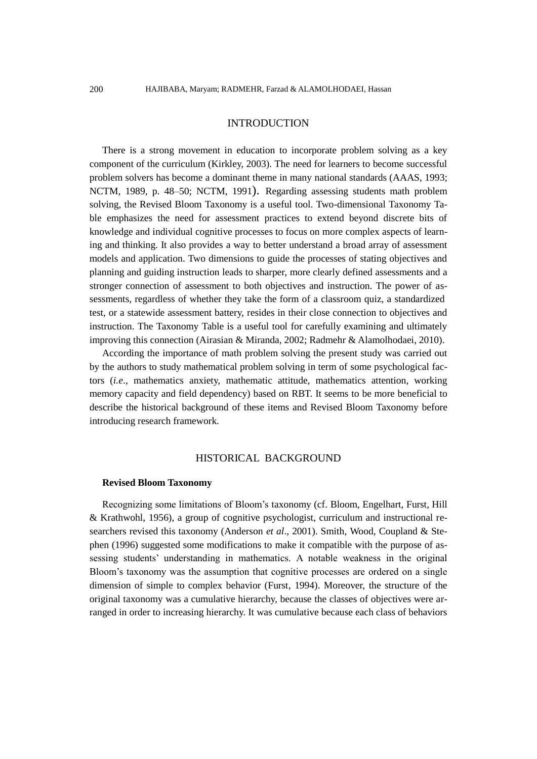## INTRODUCTION

There is a strong movement in education to incorporate problem solving as a key component of the curriculum (Kirkley, 2003). The need for learners to become successful problem solvers has become a dominant theme in many national standards (AAAS, 1993; NCTM, 1989, p. 48–50; NCTM, 1991). Regarding assessing students math problem solving, the Revised Bloom Taxonomy is a useful tool. Two-dimensional Taxonomy Table emphasizes the need for assessment practices to extend beyond discrete bits of knowledge and individual cognitive processes to focus on more complex aspects of learning and thinking. It also provides a way to better understand a broad array of assessment models and application. Two dimensions to guide the processes of stating objectives and planning and guiding instruction leads to sharper, more clearly defined assessments and a stronger connection of assessment to both objectives and instruction. The power of assessments, regardless of whether they take the form of a classroom quiz, a standardized test, or a statewide assessment battery, resides in their close connection to objectives and instruction. The Taxonomy Table is a useful tool for carefully examining and ultimately improving this connection (Airasian & Miranda, 2002; Radmehr & Alamolhodaei, 2010).

According the importance of math problem solving the present study was carried out by the authors to study mathematical problem solving in term of some psychological factors (*i.e*., mathematics anxiety, mathematic attitude, mathematics attention, working memory capacity and field dependency) based on RBT. It seems to be more beneficial to describe the historical background of these items and Revised Bloom Taxonomy before introducing research framework.

## HISTORICAL BACKGROUND

#### **Revised Bloom Taxonomy**

Recognizing some limitations of Bloom's taxonomy (cf. Bloom, Engelhart, Furst, Hill & Krathwohl, 1956), a group of cognitive psychologist, curriculum and instructional researchers revised this taxonomy (Anderson *et al*., 2001). Smith, Wood, Coupland & Stephen (1996) suggested some modifications to make it compatible with the purpose of assessing students' understanding in mathematics. A notable weakness in the original Bloom's taxonomy was the assumption that cognitive processes are ordered on a single dimension of simple to complex behavior (Furst, 1994). Moreover, the structure of the original taxonomy was a cumulative hierarchy, because the classes of objectives were arranged in order to increasing hierarchy. It was cumulative because each class of behaviors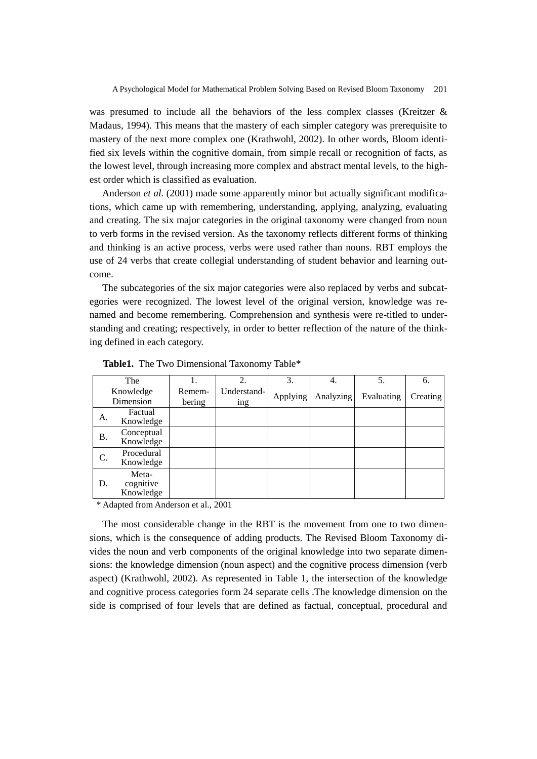was presumed to include all the behaviors of the less complex classes (Kreitzer & Madaus, 1994). This means that the mastery of each simpler category was prerequisite to mastery of the next more complex one (Krathwohl, 2002). In other words, Bloom identified six levels within the cognitive domain, from simple recall or recognition of facts, as the lowest level, through increasing more complex and abstract mental levels, to the highest order which is classified as evaluation.

Anderson *et al.* (2001) made some apparently minor but actually significant modifications, which came up with remembering, understanding, applying, analyzing, evaluating and creating. The six major categories in the original taxonomy were changed from noun to verb forms in the revised version. As the taxonomy reflects different forms of thinking and thinking is an active process, verbs were used rather than nouns. RBT employs the use of 24 verbs that create collegial understanding of student behavior and learning outcome.

The subcategories of the six major categories were also replaced by verbs and subcategories were recognized. The lowest level of the original version, knowledge was renamed and become remembering. Comprehension and synthesis were re-titled to understanding and creating; respectively, in order to better reflection of the nature of the thinking defined in each category.

|    | The                             |                  | 2.                 | 3.       | 4.        | 5.         | 6.       |
|----|---------------------------------|------------------|--------------------|----------|-----------|------------|----------|
|    | Knowledge<br>Dimension          | Remem-<br>bering | Understand-<br>ing | Applying | Analyzing | Evaluating | Creating |
| A. | Factual<br>Knowledge            |                  |                    |          |           |            |          |
| Β. | Conceptual<br>Knowledge         |                  |                    |          |           |            |          |
| C. | Procedural<br>Knowledge         |                  |                    |          |           |            |          |
| D. | Meta-<br>cognitive<br>Knowledge |                  |                    |          |           |            |          |

**Table1.** The Two Dimensional Taxonomy Table\*

\* Adapted from Anderson et al., 2001

The most considerable change in the RBT is the movement from one to two dimensions, which is the consequence of adding products. The Revised Bloom Taxonomy divides the noun and verb components of the original knowledge into two separate dimensions: the knowledge dimension (noun aspect) and the cognitive process dimension (verb aspect) (Krathwohl, 2002). As represented in Table 1, the intersection of the knowledge and cognitive process categories form 24 separate cells .The knowledge dimension on the side is comprised of four levels that are defined as factual, conceptual, procedural and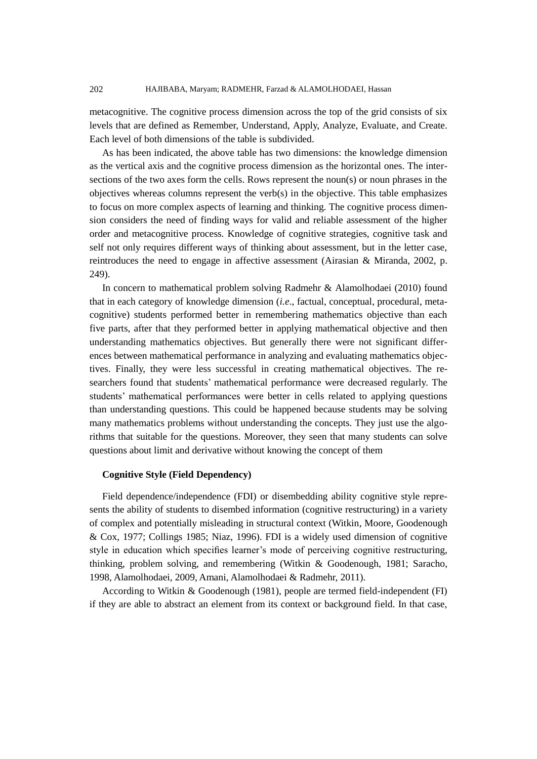metacognitive. The cognitive process dimension across the top of the grid consists of six levels that are defined as Remember, Understand, Apply, Analyze, Evaluate, and Create. Each level of both dimensions of the table is subdivided.

As has been indicated, the above table has two dimensions: the knowledge dimension as the vertical axis and the cognitive process dimension as the horizontal ones. The intersections of the two axes form the cells. Rows represent the noun(s) or noun phrases in the objectives whereas columns represent the verb(s) in the objective. This table emphasizes to focus on more complex aspects of learning and thinking. The cognitive process dimension considers the need of finding ways for valid and reliable assessment of the higher order and metacognitive process. Knowledge of cognitive strategies, cognitive task and self not only requires different ways of thinking about assessment, but in the letter case, reintroduces the need to engage in affective assessment (Airasian & Miranda, 2002, p. 249).

In concern to mathematical problem solving Radmehr & Alamolhodaei (2010) found that in each category of knowledge dimension (*i.e*., factual, conceptual, procedural, metacognitive) students performed better in remembering mathematics objective than each five parts, after that they performed better in applying mathematical objective and then understanding mathematics objectives. But generally there were not significant differences between mathematical performance in analyzing and evaluating mathematics objectives. Finally, they were less successful in creating mathematical objectives. The researchers found that students' mathematical performance were decreased regularly. The students' mathematical performances were better in cells related to applying questions than understanding questions. This could be happened because students may be solving many mathematics problems without understanding the concepts. They just use the algorithms that suitable for the questions. Moreover, they seen that many students can solve questions about limit and derivative without knowing the concept of them

## **Cognitive Style (Field Dependency)**

Field dependence/independence (FDI) or disembedding ability cognitive style represents the ability of students to disembed information (cognitive restructuring) in a variety of complex and potentially misleading in structural context (Witkin, Moore, Goodenough & Cox, 1977; Collings 1985; Niaz, 1996). FDI is a widely used dimension of cognitive style in education which specifies learner's mode of perceiving cognitive restructuring, thinking, problem solving, and remembering (Witkin & Goodenough, 1981; Saracho, 1998, Alamolhodaei, 2009, Amani, Alamolhodaei & Radmehr, 2011).

According to Witkin & Goodenough (1981), people are termed field-independent (FI) if they are able to abstract an element from its context or background field. In that case,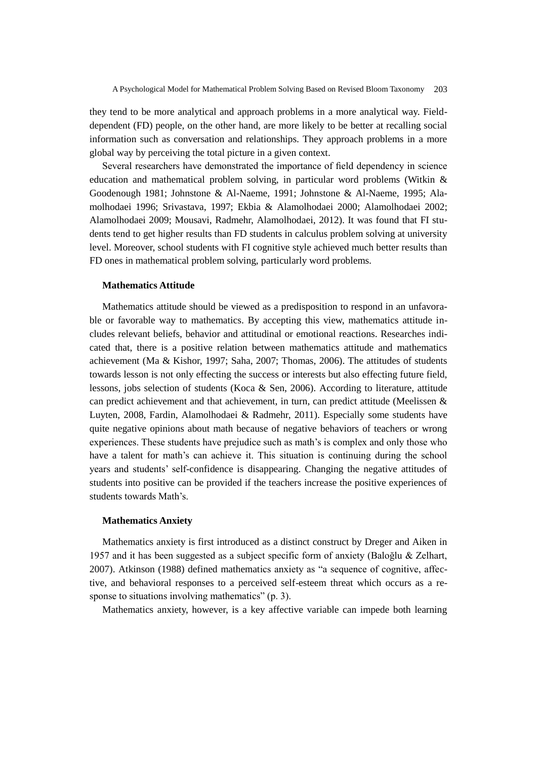they tend to be more analytical and approach problems in a more analytical way. Fielddependent (FD) people, on the other hand, are more likely to be better at recalling social information such as conversation and relationships. They approach problems in a more global way by perceiving the total picture in a given context.

Several researchers have demonstrated the importance of field dependency in science education and mathematical problem solving, in particular word problems (Witkin & Goodenough 1981; Johnstone & Al-Naeme, 1991; Johnstone & Al-Naeme, 1995; Alamolhodaei 1996; Srivastava, 1997; Ekbia & Alamolhodaei 2000; Alamolhodaei 2002; Alamolhodaei 2009; Mousavi, Radmehr, Alamolhodaei, 2012). It was found that FI students tend to get higher results than FD students in calculus problem solving at university level. Moreover, school students with FI cognitive style achieved much better results than FD ones in mathematical problem solving, particularly word problems.

#### **Mathematics Attitude**

Mathematics attitude should be viewed as a predisposition to respond in an unfavorable or favorable way to mathematics. By accepting this view, mathematics attitude includes relevant beliefs, behavior and attitudinal or emotional reactions. Researches indicated that, there is a positive relation between mathematics attitude and mathematics achievement (Ma & Kishor, 1997; Saha, 2007; Thomas, 2006). The attitudes of students towards lesson is not only effecting the success or interests but also effecting future field, lessons, jobs selection of students (Koca & Sen, 2006). According to literature, attitude can predict achievement and that achievement, in turn, can predict attitude (Meelissen & Luyten, 2008, Fardin, Alamolhodaei & Radmehr, 2011). Especially some students have quite negative opinions about math because of negative behaviors of teachers or wrong experiences. These students have prejudice such as math's is complex and only those who have a talent for math's can achieve it. This situation is continuing during the school years and students' self-confidence is disappearing. Changing the negative attitudes of students into positive can be provided if the teachers increase the positive experiences of students towards Math's.

## **Mathematics Anxiety**

Mathematics anxiety is first introduced as a distinct construct by Dreger and Aiken in 1957 and it has been suggested as a subject specific form of anxiety (Baloğlu & Zelhart, 2007). Atkinson (1988) defined mathematics anxiety as "a sequence of cognitive, affective, and behavioral responses to a perceived self-esteem threat which occurs as a response to situations involving mathematics" (p. 3).

Mathematics anxiety, however, is a key affective variable can impede both learning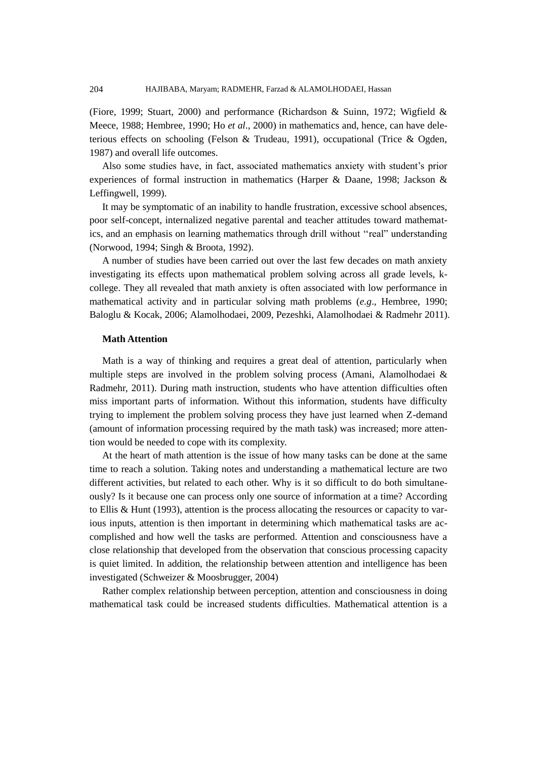(Fiore, 1999; Stuart, 2000) and performance (Richardson & Suinn, 1972; Wigfield & Meece, 1988; Hembree, 1990; Ho *et al*., 2000) in mathematics and, hence, can have deleterious effects on schooling (Felson & Trudeau, 1991), occupational (Trice & Ogden, 1987) and overall life outcomes.

Also some studies have, in fact, associated mathematics anxiety with student's prior experiences of formal instruction in mathematics (Harper & Daane, 1998; Jackson & Leffingwell, 1999).

It may be symptomatic of an inability to handle frustration, excessive school absences, poor self-concept, internalized negative parental and teacher attitudes toward mathematics, and an emphasis on learning mathematics through drill without ''real" understanding (Norwood, 1994; Singh & Broota, 1992).

A number of studies have been carried out over the last few decades on math anxiety investigating its effects upon mathematical problem solving across all grade levels, kcollege. They all revealed that math anxiety is often associated with low performance in mathematical activity and in particular solving math problems (*e.g*., Hembree, 1990; Baloglu & Kocak, 2006; Alamolhodaei, 2009, Pezeshki, Alamolhodaei & Radmehr 2011).

# **Math Attention**

Math is a way of thinking and requires a great deal of attention, particularly when multiple steps are involved in the problem solving process (Amani, Alamolhodaei & Radmehr, 2011). During math instruction, students who have attention difficulties often miss important parts of information. Without this information, students have difficulty trying to implement the problem solving process they have just learned when Z-demand (amount of information processing required by the math task) was increased; more attention would be needed to cope with its complexity.

At the heart of math attention is the issue of how many tasks can be done at the same time to reach a solution. Taking notes and understanding a mathematical lecture are two different activities, but related to each other. Why is it so difficult to do both simultaneously? Is it because one can process only one source of information at a time? According to Ellis & Hunt (1993), attention is the process allocating the resources or capacity to various inputs, attention is then important in determining which mathematical tasks are accomplished and how well the tasks are performed. Attention and consciousness have a close relationship that developed from the observation that conscious processing capacity is quiet limited. In addition, the relationship between attention and intelligence has been investigated (Schweizer & Moosbrugger, 2004)

Rather complex relationship between perception, attention and consciousness in doing mathematical task could be increased students difficulties. Mathematical attention is a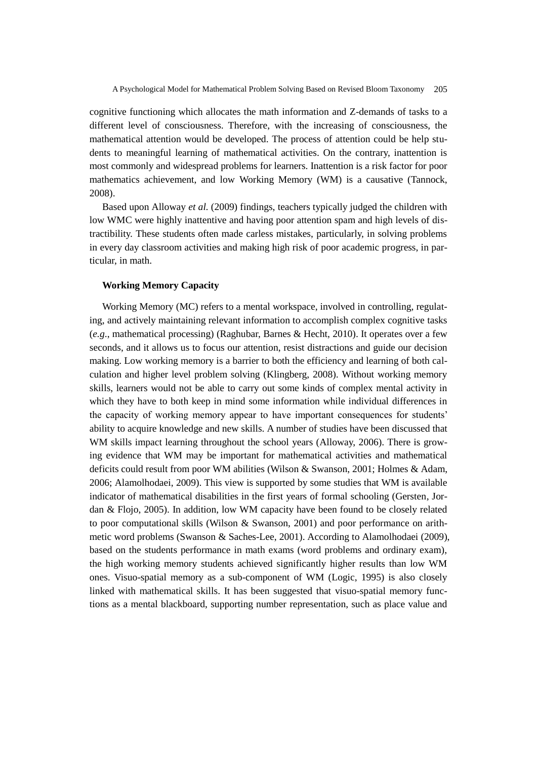cognitive functioning which allocates the math information and Z-demands of tasks to a different level of consciousness. Therefore, with the increasing of consciousness, the mathematical attention would be developed. The process of attention could be help students to meaningful learning of mathematical activities. On the contrary, inattention is most commonly and widespread problems for learners. Inattention is a risk factor for poor mathematics achievement, and low Working Memory (WM) is a causative (Tannock, 2008).

Based upon Alloway *et al.* (2009) findings, teachers typically judged the children with low WMC were highly inattentive and having poor attention spam and high levels of distractibility. These students often made carless mistakes, particularly, in solving problems in every day classroom activities and making high risk of poor academic progress, in particular, in math.

## **Working Memory Capacity**

Working Memory (MC) refers to a mental workspace, involved in controlling, regulating, and actively maintaining relevant information to accomplish complex cognitive tasks (*e.g*., mathematical processing) (Raghubar, Barnes & Hecht, 2010). It operates over a few seconds, and it allows us to focus our attention, resist distractions and guide our decision making. Low working memory is a barrier to both the efficiency and learning of both calculation and higher level problem solving (Klingberg, 2008). Without working memory skills, learners would not be able to carry out some kinds of complex mental activity in which they have to both keep in mind some information while individual differences in the capacity of working memory appear to have important consequences for students' ability to acquire knowledge and new skills. A number of studies have been discussed that WM skills impact learning throughout the school years (Alloway, 2006). There is growing evidence that WM may be important for mathematical activities and mathematical deficits could result from poor WM abilities (Wilson & Swanson, 2001; Holmes & Adam, 2006; Alamolhodaei, 2009). This view is supported by some studies that WM is available indicator of mathematical disabilities in the first years of formal schooling (Gersten, Jordan & Flojo, 2005). In addition, low WM capacity have been found to be closely related to poor computational skills (Wilson & Swanson, 2001) and poor performance on arithmetic word problems (Swanson & Saches-Lee, 2001). According to Alamolhodaei (2009), based on the students performance in math exams (word problems and ordinary exam), the high working memory students achieved significantly higher results than low WM ones. Visuo-spatial memory as a sub-component of WM (Logic, 1995) is also closely linked with mathematical skills. It has been suggested that visuo-spatial memory functions as a mental blackboard, supporting number representation, such as place value and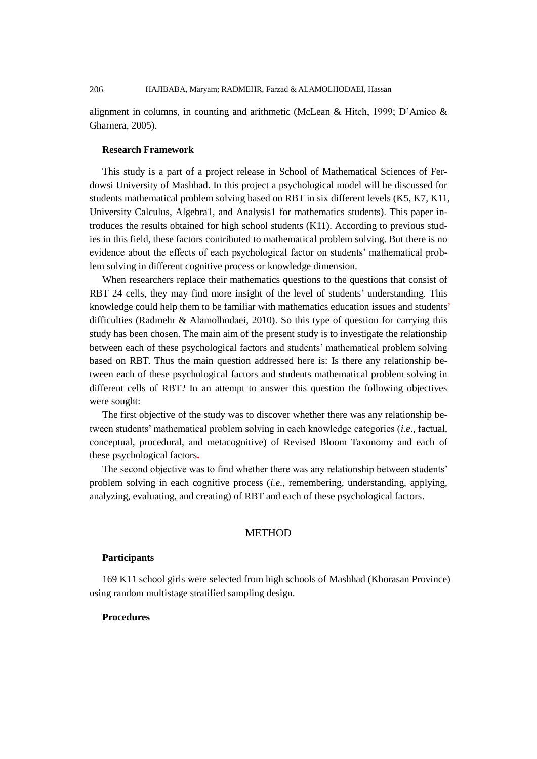alignment in columns, in counting and arithmetic (McLean & Hitch, 1999; D'Amico & Gharnera, 2005).

## **Research Framework**

This study is a part of a project release in School of Mathematical Sciences of Ferdowsi University of Mashhad. In this project a psychological model will be discussed for students mathematical problem solving based on RBT in six different levels (K5, K7, K11, University Calculus, Algebra1, and Analysis1 for mathematics students). This paper introduces the results obtained for high school students (K11). According to previous studies in this field, these factors contributed to mathematical problem solving. But there is no evidence about the effects of each psychological factor on students' mathematical problem solving in different cognitive process or knowledge dimension.

When researchers replace their mathematics questions to the questions that consist of RBT 24 cells, they may find more insight of the level of students' understanding. This knowledge could help them to be familiar with mathematics education issues and students' difficulties (Radmehr & Alamolhodaei, 2010). So this type of question for carrying this study has been chosen. The main aim of the present study is to investigate the relationship between each of these psychological factors and students' mathematical problem solving based on RBT. Thus the main question addressed here is: Is there any relationship between each of these psychological factors and students mathematical problem solving in different cells of RBT? In an attempt to answer this question the following objectives were sought:

The first objective of the study was to discover whether there was any relationship between students' mathematical problem solving in each knowledge categories (*i.e*., factual, conceptual, procedural, and metacognitive) of Revised Bloom Taxonomy and each of these psychological factors**.**

The second objective was to find whether there was any relationship between students' problem solving in each cognitive process (*i.e*., remembering, understanding, applying, analyzing, evaluating, and creating) of RBT and each of these psychological factors.

## METHOD

# **Participants**

169 K11 school girls were selected from high schools of Mashhad (Khorasan Province) using random multistage stratified sampling design.

## **Procedures**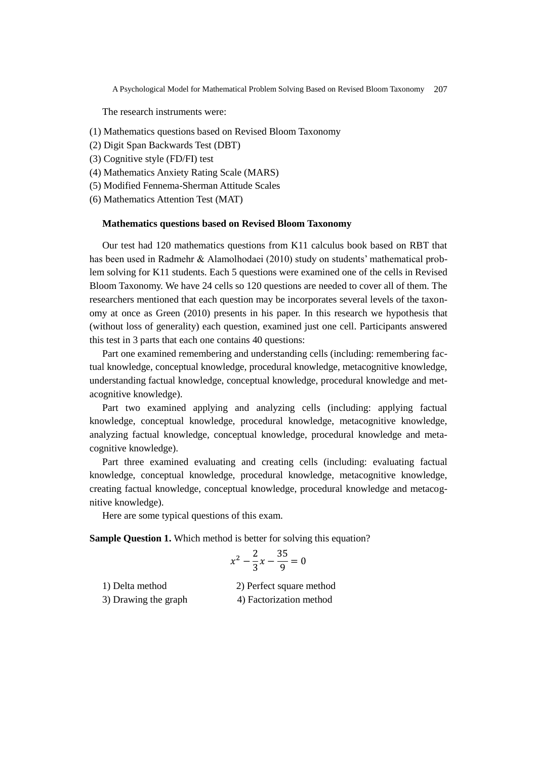The research instruments were:

- (1) Mathematics questions based on Revised Bloom Taxonomy
- (2) Digit Span Backwards Test (DBT)
- (3) Cognitive style (FD/FI) test
- (4) Mathematics Anxiety Rating Scale (MARS)
- (5) Modified Fennema-Sherman Attitude Scales
- (6) Mathematics Attention Test (MAT)

## **Mathematics questions based on Revised Bloom Taxonomy**

Our test had 120 mathematics questions from K11 calculus book based on RBT that has been used in Radmehr & Alamolhodaei (2010) study on students' mathematical problem solving for K11 students. Each 5 questions were examined one of the cells in Revised Bloom Taxonomy. We have 24 cells so 120 questions are needed to cover all of them. The researchers mentioned that each question may be incorporates several levels of the taxonomy at once as Green (2010) presents in his paper. In this research we hypothesis that (without loss of generality) each question, examined just one cell. Participants answered this test in 3 parts that each one contains 40 questions:

Part one examined remembering and understanding cells (including: remembering factual knowledge, conceptual knowledge, procedural knowledge, metacognitive knowledge, understanding factual knowledge, conceptual knowledge, procedural knowledge and metacognitive knowledge).

Part two examined applying and analyzing cells (including: applying factual knowledge, conceptual knowledge, procedural knowledge, metacognitive knowledge, analyzing factual knowledge, conceptual knowledge, procedural knowledge and metacognitive knowledge).

Part three examined evaluating and creating cells (including: evaluating factual knowledge, conceptual knowledge, procedural knowledge, metacognitive knowledge, creating factual knowledge, conceptual knowledge, procedural knowledge and metacognitive knowledge).

Here are some typical questions of this exam.

**Sample Question 1.** Which method is better for solving this equation?

$$
x^2 - \frac{2}{3}x - \frac{35}{9} = 0
$$

1) Delta method 2) Perfect square method 3) Drawing the graph 4) Factorization method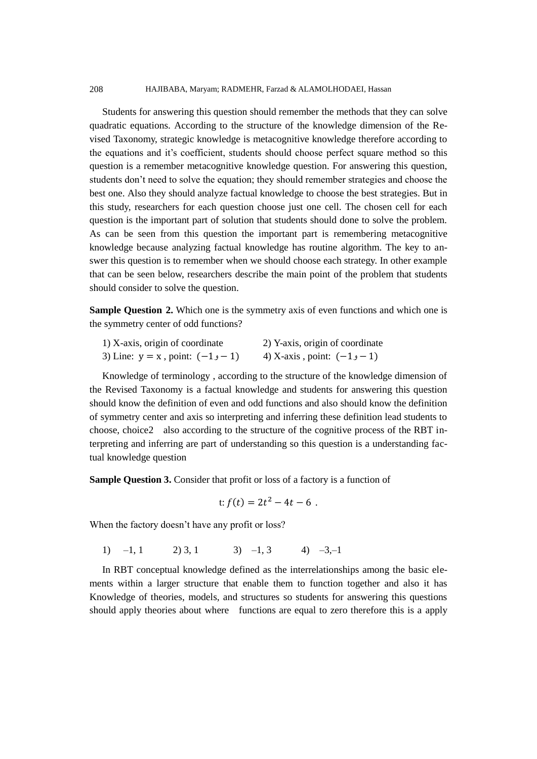208 HAJIBABA, Maryam; RADMEHR, Farzad & ALAMOLHODAEI, Hassan

Students for answering this question should remember the methods that they can solve quadratic equations. According to the structure of the knowledge dimension of the Revised Taxonomy, strategic knowledge is metacognitive knowledge therefore according to the equations and it's coefficient, students should choose perfect square method so this question is a remember metacognitive knowledge question. For answering this question, students don't need to solve the equation; they should remember strategies and choose the best one. Also they should analyze factual knowledge to choose the best strategies. But in this study, researchers for each question choose just one cell. The chosen cell for each question is the important part of solution that students should done to solve the problem. As can be seen from this question the important part is remembering metacognitive knowledge because analyzing factual knowledge has routine algorithm. The key to answer this question is to remember when we should choose each strategy. In other example that can be seen below, researchers describe the main point of the problem that students should consider to solve the question.

**Sample Question 2.** Which one is the symmetry axis of even functions and which one is the symmetry center of odd functions?

| 1) X-axis, origin of coordinate      | 2) Y-axis, origin of coordinate |
|--------------------------------------|---------------------------------|
| 3) Line: $y = x$ , point: $(-1, -1)$ | 4) X-axis, point: $(-1, -1)$    |

Knowledge of terminology , according to the structure of the knowledge dimension of the Revised Taxonomy is a factual knowledge and students for answering this question should know the definition of even and odd functions and also should know the definition of symmetry center and axis so interpreting and inferring these definition lead students to choose, choice2 also according to the structure of the cognitive process of the RBT interpreting and inferring are part of understanding so this question is a understanding factual knowledge question

**Sample Question 3.** Consider that profit or loss of a factory is a function of

$$
t: f(t) = 2t^2 - 4t - 6.
$$

When the factory doesn't have any profit or loss?

1)  $-1$ , 1 2) 3, 1 3)  $-1$ , 3 4)  $-3$ , 1

In RBT conceptual knowledge defined as the interrelationships among the basic elements within a larger structure that enable them to function together and also it has Knowledge of theories, models, and structures so students for answering this questions should apply theories about where functions are equal to zero therefore this is a apply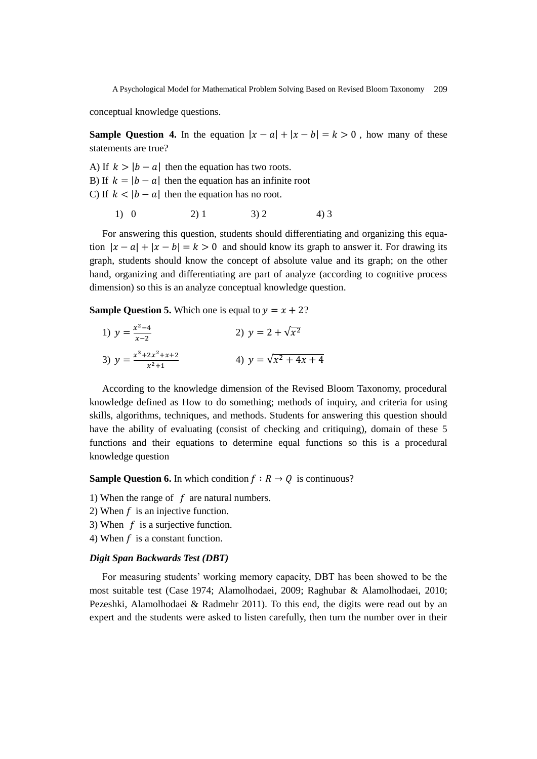conceptual knowledge questions.

**Sample Question 4.** In the equation  $|x - a| + |x - b| = k > 0$ , how many of these statements are true?

A) If  $k > |b - a|$  then the equation has two roots. B) If  $k = |b - a|$  then the equation has an infinite root C) If  $k < |b - a|$  then the equation has no root.

1) 0 2) 1 3) 2 4) 3

For answering this question, students should differentiating and organizing this equation  $|x - a| + |x - b| = k > 0$  and should know its graph to answer it. For drawing its graph, students should know the concept of absolute value and its graph; on the other hand, organizing and differentiating are part of analyze (according to cognitive process dimension) so this is an analyze conceptual knowledge question.

**Sample Question 5.** Which one is equal to  $y = x + 2$ ?

1) 
$$
y = \frac{x^2 - 4}{x - 2}
$$
  
\n2)  $y = 2 + \sqrt{x^2}$   
\n3)  $y = \frac{x^3 + 2x^2 + x + 2}{x^2 + 1}$   
\n4)  $y = \sqrt{x^2 + 4x + 4}$ 

According to the knowledge dimension of the Revised Bloom Taxonomy, procedural knowledge defined as How to do something; methods of inquiry, and criteria for using skills, algorithms, techniques, and methods. Students for answering this question should have the ability of evaluating (consist of checking and critiquing), domain of these 5 functions and their equations to determine equal functions so this is a procedural knowledge question

**Sample Question 6.** In which condition  $f : R \to 0$  is continuous?

1) When the range of  $f$  are natural numbers.

- 2) When  $f$  is an injective function.
- 3) When  $f$  is a surjective function.
- 4) When  $f$  is a constant function.

# *Digit Span Backwards Test (DBT)*

For measuring students' working memory capacity, DBT has been showed to be the most suitable test (Case 1974; Alamolhodaei, 2009; Raghubar & Alamolhodaei, 2010; Pezeshki, Alamolhodaei & Radmehr 2011). To this end, the digits were read out by an expert and the students were asked to listen carefully, then turn the number over in their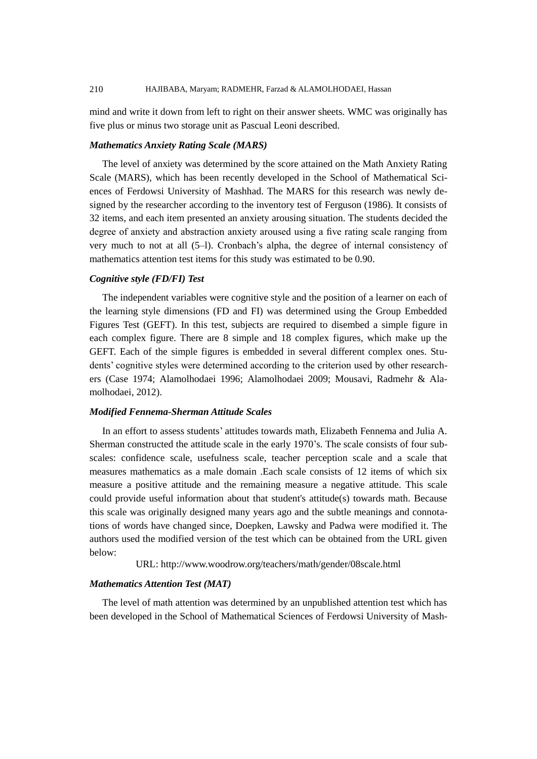mind and write it down from left to right on their answer sheets. WMC was originally has five plus or minus two storage unit as Pascual Leoni described.

## *Mathematics Anxiety Rating Scale (MARS)*

The level of anxiety was determined by the score attained on the Math Anxiety Rating Scale (MARS), which has been recently developed in the School of Mathematical Sciences of Ferdowsi University of Mashhad. The MARS for this research was newly designed by the researcher according to the inventory test of Ferguson (1986). It consists of 32 items, and each item presented an anxiety arousing situation. The students decided the degree of anxiety and abstraction anxiety aroused using a five rating scale ranging from very much to not at all (5–l). Cronbach's alpha, the degree of internal consistency of mathematics attention test items for this study was estimated to be 0.90.

## *Cognitive style (FD/FI) Test*

The independent variables were cognitive style and the position of a learner on each of the learning style dimensions (FD and FI) was determined using the Group Embedded Figures Test (GEFT). In this test, subjects are required to disembed a simple figure in each complex figure. There are 8 simple and 18 complex figures, which make up the GEFT. Each of the simple figures is embedded in several different complex ones. Students' cognitive styles were determined according to the criterion used by other researchers (Case 1974; Alamolhodaei 1996; Alamolhodaei 2009; Mousavi, Radmehr & Alamolhodaei, 2012).

## *Modified Fennema-Sherman Attitude Scales*

In an effort to assess students' attitudes towards math, Elizabeth Fennema and Julia A. Sherman constructed the attitude scale in the early 1970's. The scale consists of four subscales: confidence scale, usefulness scale, teacher perception scale and a scale that measures mathematics as a male domain .Each scale consists of 12 items of which six measure a positive attitude and the remaining measure a negative attitude. This scale could provide useful information about that student's attitude(s) towards math. Because this scale was originally designed many years ago and the subtle meanings and connotations of words have changed since, Doepken, Lawsky and Padwa were modified it. The authors used the modified version of the test which can be obtained from the URL given below:

URL: http://www.woodrow.org/teachers/math/gender/08scale.html

#### *Mathematics Attention Test (MAT)*

The level of math attention was determined by an unpublished attention test which has been developed in the School of Mathematical Sciences of Ferdowsi University of Mash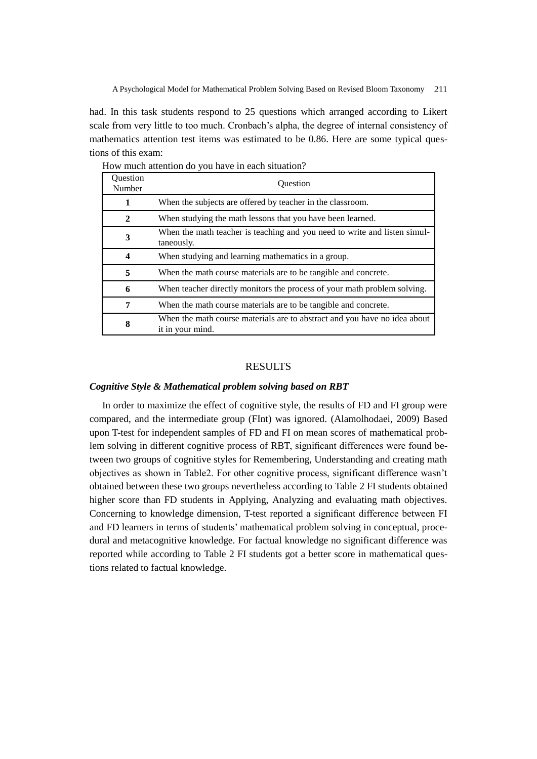had. In this task students respond to 25 questions which arranged according to Likert scale from very little to too much. Cronbach's alpha, the degree of internal consistency of mathematics attention test items was estimated to be 0.86. Here are some typical questions of this exam:

| <b>Ouestion</b><br>Number | <b>Ouestion</b>                                                                               |
|---------------------------|-----------------------------------------------------------------------------------------------|
| 1                         | When the subjects are offered by teacher in the classroom.                                    |
| 2                         | When studying the math lessons that you have been learned.                                    |
| 3                         | When the math teacher is teaching and you need to write and listen simul-<br>taneously.       |
| 4                         | When studying and learning mathematics in a group.                                            |
| 5                         | When the math course materials are to be tangible and concrete.                               |
| 6                         | When teacher directly monitors the process of your math problem solving.                      |
| 7                         | When the math course materials are to be tangible and concrete.                               |
| 8                         | When the math course materials are to abstract and you have no idea about<br>it in your mind. |

How much attention do you have in each situation?

## RESULTS

## *Cognitive Style & Mathematical problem solving based on RBT*

In order to maximize the effect of cognitive style, the results of FD and FI group were compared, and the intermediate group (FInt) was ignored. (Alamolhodaei, 2009) Based upon T-test for independent samples of FD and FI on mean scores of mathematical problem solving in different cognitive process of RBT, significant differences were found between two groups of cognitive styles for Remembering, Understanding and creating math objectives as shown in Table2. For other cognitive process, significant difference wasn't obtained between these two groups nevertheless according to Table 2 FI students obtained higher score than FD students in Applying, Analyzing and evaluating math objectives. Concerning to knowledge dimension, T-test reported a significant difference between FI and FD learners in terms of students' mathematical problem solving in conceptual, procedural and metacognitive knowledge. For factual knowledge no significant difference was reported while according to Table 2 FI students got a better score in mathematical questions related to factual knowledge.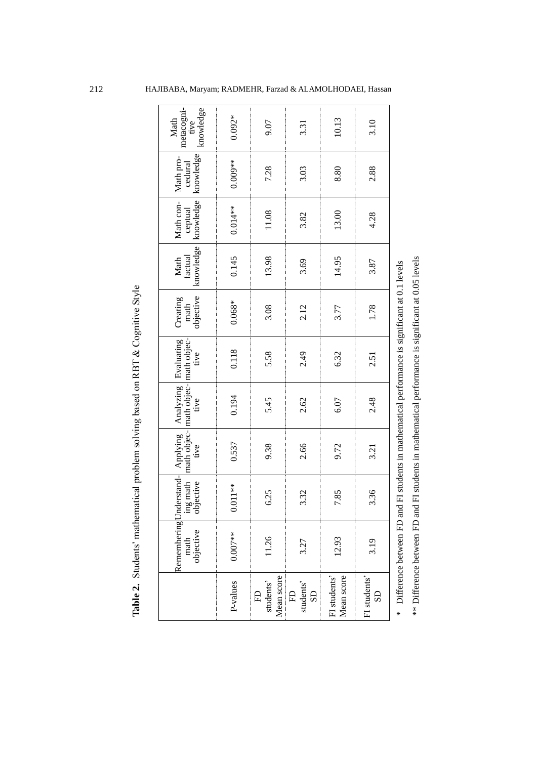|                                          | Table 2. Students' mathematical problem solving based on RBT & Cognitive Style |                                     |                                 |                              |                                 |                               |                              |                                   |                                   |                                         |
|------------------------------------------|--------------------------------------------------------------------------------|-------------------------------------|---------------------------------|------------------------------|---------------------------------|-------------------------------|------------------------------|-----------------------------------|-----------------------------------|-----------------------------------------|
|                                          | RememberingU<br>math<br>objective                                              | nderstand-<br>objective<br>ing math | math objec-<br>Applying<br>tive | Analyzing Evaluating<br>tive | math objec- math objec-<br>tive | objective<br>Creating<br>math | knowledge<br>factual<br>Math | knowledge<br>Math con-<br>ceptual | knowledge<br>Math pro-<br>cedural | metacogni-<br>knowledge<br>Math<br>tive |
| P-values                                 | $0.007**$                                                                      | $0.011**$                           | 0.537                           | 0.194                        | 0.118                           | $0.068*$                      | 0.145                        | $0.014**$                         | $0.009**$                         | $0.092*$                                |
| Mean score<br>students'<br>E             | 11.26                                                                          | 6.25                                | 9.38                            | 5.45                         | 5.58                            | 3.08                          | 13.98                        | 11.08                             | 7.28                              | 9.07                                    |
| students'<br>$\overline{\text{SD}}$<br>E | 3.27                                                                           | 3.32                                | 2.66                            | 2.62                         | 2.49                            | 2.12                          | 3.69                         | 3.82                              | 3.03                              | 3.31                                    |
| FI students'<br>Mean score               | 12.93                                                                          | 7.85                                | 9.72                            | 6.07                         | 6.32                            | 3.77                          | 14.95                        | 13.00                             | 8.80                              | 10.13                                   |
| FI students'<br>SD                       | 3.19                                                                           | 3.36                                | 3.21                            | 2.48                         | 2.51                            | 1.78                          | 3.87                         | 4.28                              | 2.88                              | 3.10                                    |

\*\* Difference between FD and FI students in mathematical performance is significant at 0.05 levels \*\* Difference between FD and FI students in mathematical performance is significant at 0.05 levels \* Difference between FD and FI students in mathematical performance is significant at 0.1 levels Difference between FD and FI students in mathematical performance is significant at 0.1 levels

212 HAJIBABA, Maryam; RADMEHR, Farzad & ALAMOLHODAEI, Hassan

FI students' SD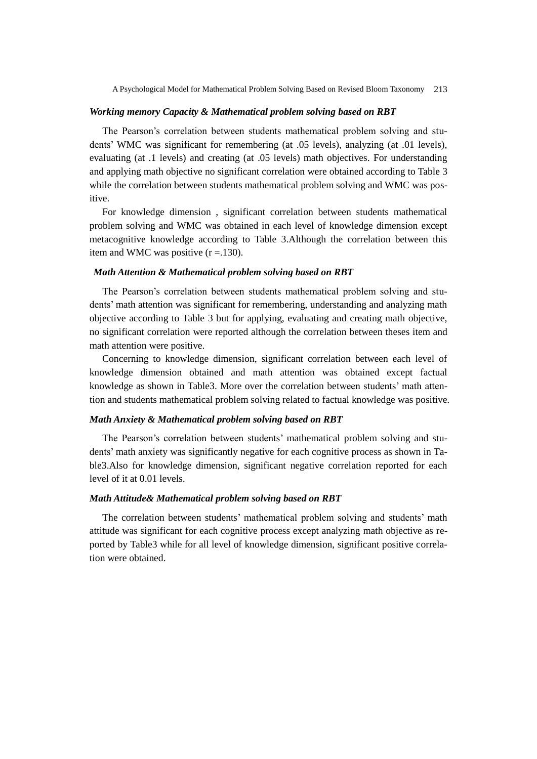## *Working memory Capacity & Mathematical problem solving based on RBT*

The Pearson's correlation between students mathematical problem solving and students' WMC was significant for remembering (at .05 levels), analyzing (at .01 levels), evaluating (at .1 levels) and creating (at .05 levels) math objectives. For understanding and applying math objective no significant correlation were obtained according to Table 3 while the correlation between students mathematical problem solving and WMC was positive.

For knowledge dimension , significant correlation between students mathematical problem solving and WMC was obtained in each level of knowledge dimension except metacognitive knowledge according to Table 3.Although the correlation between this item and WMC was positive  $(r = .130)$ .

#### *Math Attention & Mathematical problem solving based on RBT*

The Pearson's correlation between students mathematical problem solving and students' math attention was significant for remembering, understanding and analyzing math objective according to Table 3 but for applying, evaluating and creating math objective, no significant correlation were reported although the correlation between theses item and math attention were positive.

Concerning to knowledge dimension, significant correlation between each level of knowledge dimension obtained and math attention was obtained except factual knowledge as shown in Table3. More over the correlation between students' math attention and students mathematical problem solving related to factual knowledge was positive.

## *Math Anxiety & Mathematical problem solving based on RBT*

The Pearson's correlation between students' mathematical problem solving and students' math anxiety was significantly negative for each cognitive process as shown in Table3.Also for knowledge dimension, significant negative correlation reported for each level of it at 0.01 levels.

## *Math Attitude& Mathematical problem solving based on RBT*

The correlation between students' mathematical problem solving and students' math attitude was significant for each cognitive process except analyzing math objective as reported by Table3 while for all level of knowledge dimension, significant positive correlation were obtained.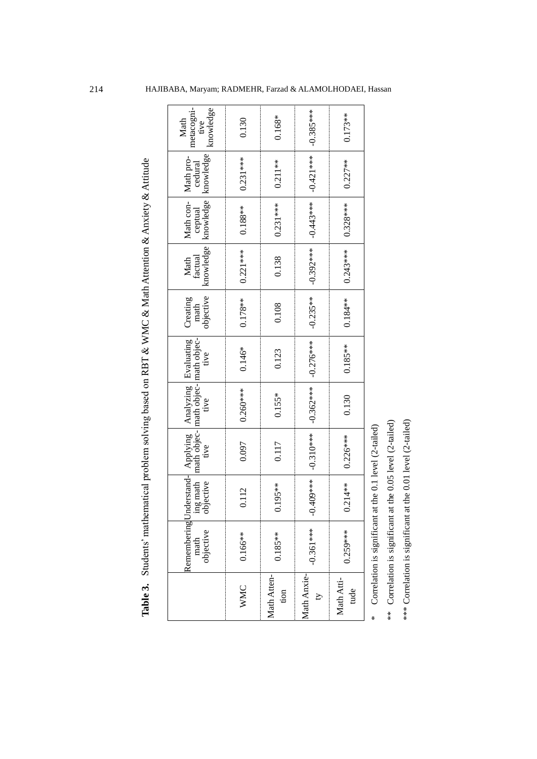|                         | Remembering Un<br>math<br>objective | ing math<br>objective |             | nderstand- Applying Analyzing Evaluating<br>ing math math objec- math objec- math objec-<br>bijective tive tive tive tive |             | math<br>objective<br>Creating | knowledge<br>Math<br>factual | knowledge knowledge<br>Math con-<br>ceptual | Math pro-<br>cedural | metacogni-<br>tive<br>knowledge<br>Math |
|-------------------------|-------------------------------------|-----------------------|-------------|---------------------------------------------------------------------------------------------------------------------------|-------------|-------------------------------|------------------------------|---------------------------------------------|----------------------|-----------------------------------------|
| <b>WMC</b>              | $0.166***$                          | 0.112                 | 0.097       | $0.260***$                                                                                                                | $0.146*$    | $0.178***$                    | $0.221***$                   | $0.188***$                                  | $0.231***$           | 0.130                                   |
| Math Atten-<br>tion     | $0.185**$                           | $0.195***$            | 0.117       | $0.155*$                                                                                                                  | 0.123       | 0.108                         | 0.138                        | $0.231***$                                  | $0.211**$            | $0.168*$                                |
| Math Anxie-<br>$\Delta$ | $-0.361***$                         | 1.409***              | $-0.310***$ | $-0.362***$                                                                                                               | $-0.276***$ | $-0.235**$                    | $-0.392***$                  | $-0.443***$                                 | $-0.421***$          | $-0.385***$                             |
| Math Atti-<br>tude      | $0.259***$                          | $0.214**$             | $0.226***$  | 0.130                                                                                                                     | $0.185***$  | $0.184***$                    | $0.243***$                   | $0.328***$                                  | $0.227**$            | $0.173**$                               |
|                         |                                     |                       |             |                                                                                                                           |             |                               |                              |                                             |                      |                                         |

Correlation is significant at the 0.1 level (2-tailed) Correlation is significant at the 0.1 level (2-tailed)

\*

Correlation is significant at the 0.05 level (2-tailed) \*\* Correlation is significant at the 0.05 level (2-tailed)  $*$ 

\*\*\* Correlation is significant at the 0.01 level (2-tailed) \*\*\* Correlation is significant at the 0.01 level (2-tailed)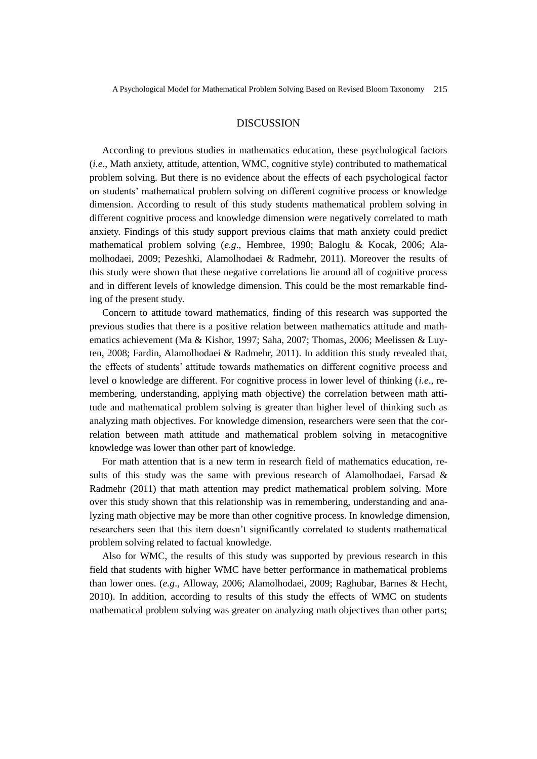## DISCUSSION

According to previous studies in mathematics education, these psychological factors (*i.e*., Math anxiety, attitude, attention, WMC, cognitive style) contributed to mathematical problem solving. But there is no evidence about the effects of each psychological factor on students' mathematical problem solving on different cognitive process or knowledge dimension. According to result of this study students mathematical problem solving in different cognitive process and knowledge dimension were negatively correlated to math anxiety. Findings of this study support previous claims that math anxiety could predict mathematical problem solving (*e.g*., Hembree, 1990; Baloglu & Kocak, 2006; Alamolhodaei, 2009; Pezeshki, Alamolhodaei & Radmehr, 2011). Moreover the results of this study were shown that these negative correlations lie around all of cognitive process and in different levels of knowledge dimension. This could be the most remarkable finding of the present study.

Concern to attitude toward mathematics, finding of this research was supported the previous studies that there is a positive relation between mathematics attitude and mathematics achievement (Ma & Kishor, 1997; Saha, 2007; Thomas, 2006; Meelissen & Luyten, 2008; Fardin, Alamolhodaei & Radmehr, 2011). In addition this study revealed that, the effects of students' attitude towards mathematics on different cognitive process and level o knowledge are different. For cognitive process in lower level of thinking (*i.e*., remembering, understanding, applying math objective) the correlation between math attitude and mathematical problem solving is greater than higher level of thinking such as analyzing math objectives. For knowledge dimension, researchers were seen that the correlation between math attitude and mathematical problem solving in metacognitive knowledge was lower than other part of knowledge.

For math attention that is a new term in research field of mathematics education, results of this study was the same with previous research of Alamolhodaei, Farsad & Radmehr (2011) that math attention may predict mathematical problem solving. More over this study shown that this relationship was in remembering, understanding and analyzing math objective may be more than other cognitive process. In knowledge dimension, researchers seen that this item doesn't significantly correlated to students mathematical problem solving related to factual knowledge.

Also for WMC, the results of this study was supported by previous research in this field that students with higher WMC have better performance in mathematical problems than lower ones. (*e.g*., Alloway, 2006; Alamolhodaei, 2009; Raghubar, Barnes & Hecht, 2010). In addition, according to results of this study the effects of WMC on students mathematical problem solving was greater on analyzing math objectives than other parts;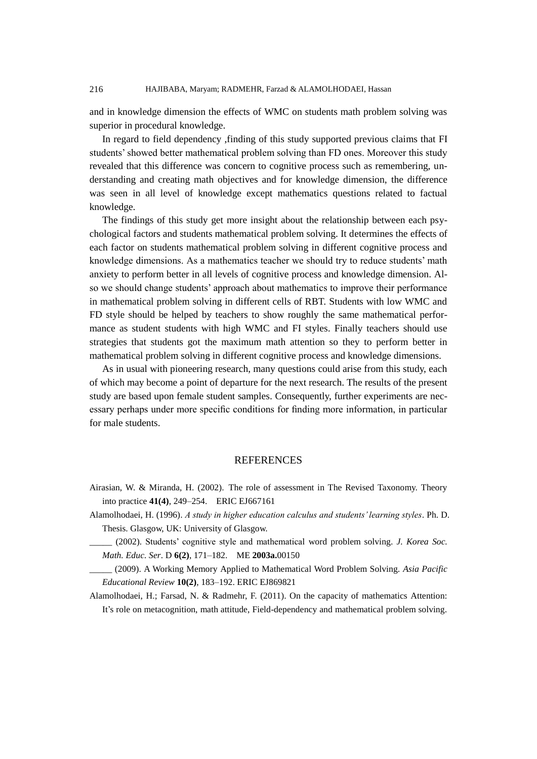and in knowledge dimension the effects of WMC on students math problem solving was superior in procedural knowledge.

In regard to field dependency ,finding of this study supported previous claims that FI students' showed better mathematical problem solving than FD ones. Moreover this study revealed that this difference was concern to cognitive process such as remembering, understanding and creating math objectives and for knowledge dimension, the difference was seen in all level of knowledge except mathematics questions related to factual knowledge.

The findings of this study get more insight about the relationship between each psychological factors and students mathematical problem solving. It determines the effects of each factor on students mathematical problem solving in different cognitive process and knowledge dimensions. As a mathematics teacher we should try to reduce students' math anxiety to perform better in all levels of cognitive process and knowledge dimension. Also we should change students' approach about mathematics to improve their performance in mathematical problem solving in different cells of RBT. Students with low WMC and FD style should be helped by teachers to show roughly the same mathematical performance as student students with high WMC and FI styles. Finally teachers should use strategies that students got the maximum math attention so they to perform better in mathematical problem solving in different cognitive process and knowledge dimensions.

As in usual with pioneering research, many questions could arise from this study, each of which may become a point of departure for the next research. The results of the present study are based upon female student samples. Consequently, further experiments are necessary perhaps under more specific conditions for finding more information, in particular for male students.

# **REFERENCES**

- Airasian, W. & Miranda, H. (2002). The role of assessment in The Revised Taxonomy. Theory into practice **41(4)**, 249–254. ERIC EJ667161
- Alamolhodaei, H. (1996). *A study in higher education calculus and students' learning styles*. Ph. D. Thesis. Glasgow, UK: University of Glasgow.
	- \_\_\_\_\_ (2002). Students' cognitive style and mathematical word problem solving. *J. Korea Soc. Math. Educ. Ser*. D **6(2)**, 171–182. ME **2003a.**00150
	- \_\_\_\_\_ (2009). A Working Memory Applied to Mathematical Word Problem Solving. *Asia Pacific Educational Review* **10(2)**, 183–192. ERIC EJ869821

Alamolhodaei, H.; Farsad, N. & Radmehr, F. (2011). On the capacity of mathematics Attention: It's role on metacognition, math attitude, Field-dependency and mathematical problem solving.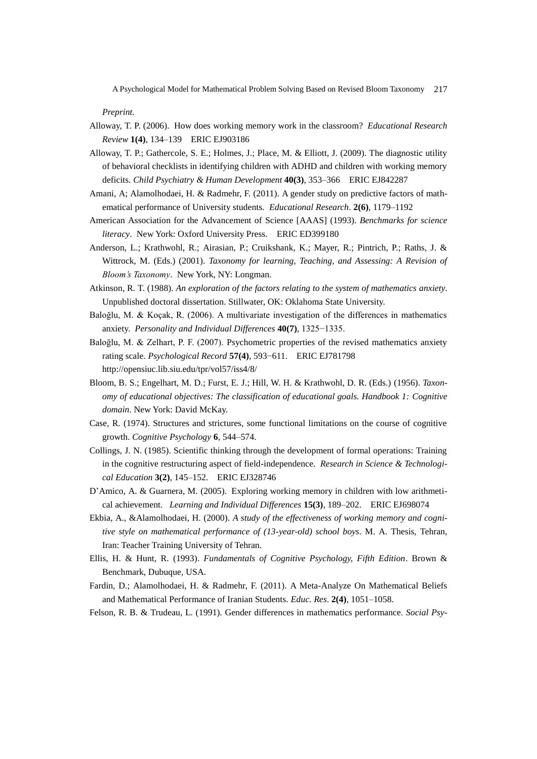#### *Preprint.*

- Alloway, T. P. (2006). How does working memory work in the classroom? *Educational Research Review* **1(4)**, 134–139 ERIC EJ903186
- Alloway, T. P.; Gathercole, S. E.; Holmes, J.; Place, M. & Elliott, J. (2009). The diagnostic utility of behavioral checklists in identifying children with ADHD and children with working memory deficits. *Child Psychiatry & Human Development* **40(3)**, 353–366 ERIC EJ842287
- Amani, A; Alamolhodaei, H. & Radmehr, F. (2011). A gender study on predictive factors of mathematical performance of University students. *Educational Research*. **2(6)**, 1179–1192
- American Association for the Advancement of Science [AAAS] (1993). *Benchmarks for science literacy*. New York: Oxford University Press. ERIC ED399180
- Anderson, L.; Krathwohl, R.; Airasian, P.; Cruikshank, K.; Mayer, R.; Pintrich, P.; Raths, J. & Wittrock, M. (Eds.) (2001). *Taxonomy for learning, Teaching, and Assessing: A Revision of Bloom's Taxonomy*. New York, NY: Longman.
- Atkinson, R. T. (1988). *An exploration of the factors relating to the system of mathematics anxiety*. Unpublished doctoral dissertation. Stillwater, OK: Oklahoma State University.
- Baloğlu, M. & Koçak, R. (2006). A multivariate investigation of the differences in mathematics anxiety. *Personality and Individual Differences* **40(7)**, 1325−1335.
- Baloğlu, M. & Zelhart, P. F. (2007). Psychometric properties of the revised mathematics anxiety rating scale. *Psychological Record* **57(4)**, 593−611. ERIC EJ781798 http://opensiuc.lib.siu.edu/tpr/vol57/iss4/8/
- Bloom, B. S.; Engelhart, M. D.; Furst, E. J.; Hill, W. H. & Krathwohl, D. R. (Eds.) (1956). *Taxonomy of educational objectives: The classification of educational goals. Handbook 1: Cognitive domain*. New York: David McKay.
- Case, R. (1974). Structures and strictures, some functional limitations on the course of cognitive growth. *Cognitive Psychology* **6**, 544–574.
- Collings, J. N. (1985). Scientific thinking through the development of formal operations: Training in the cognitive restructuring aspect of field-independence. *Research in Science & Technological Education* **3(2)**, 145–152. ERIC EJ328746
- D'Amico, A. & Guarnera, M. (2005). Exploring working memory in children with low arithmetical achievement. *Learning and Individual Differences* **15(3)**, 189–202. ERIC EJ698074
- Ekbia, A., &Alamolhodaei, H. (2000). *A study of the effectiveness of working memory and cognitive style on mathematical performance of (13-year-old) school boys*. M. A. Thesis, Tehran, Iran: Teacher Training University of Tehran.
- Ellis, H. & Hunt, R. (1993). *Fundamentals of Cognitive Psychology, Fifth Edition*. Brown & Benchmark, Dubuque, USA.
- Fardin, D.; Alamolhodaei, H. & Radmehr, F. (2011). A Meta-Analyze On Mathematical Beliefs and Mathematical Performance of Iranian Students. *Educ. Res*. **2(4)**, 1051–1058.
- Felson, R. B. & Trudeau, L. (1991). Gender differences in mathematics performance. *Social Psy-*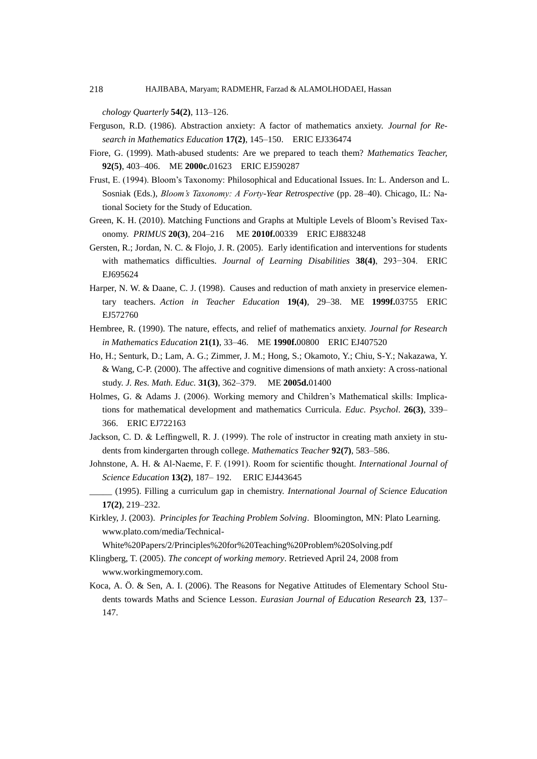#### 218 HAJIBABA, Maryam; RADMEHR, Farzad & ALAMOLHODAEI, Hassan

*chology Quarterly* **54(2)**, 113–126.

- Ferguson, R.D. (1986). Abstraction anxiety: A factor of mathematics anxiety. *Journal for Research in Mathematics Education* **17(2)**, 145–150. ERIC EJ336474
- Fiore, G. (1999). Math-abused students: Are we prepared to teach them? *Mathematics Teacher,*  **92(5)**, 403–406. ME **[2000c.](http://www.zentralblatt-math.org/matheduc/en/?q=an%3A2000c.01623)**01623 ERIC EJ590287
- Frust, E. (1994). Bloom's Taxonomy: Philosophical and Educational Issues. In: L. Anderson and L. Sosniak (Eds.), *Bloom's Taxonomy: A Forty-Year Retrospective* (pp. 28–40). Chicago, IL: National Society for the Study of Education.
- Green, K. H. (2010). Matching Functions and Graphs at Multiple Levels of Bloom's Revised Taxonomy. *PRIMUS* **20(3)**, 204–216 ME **[2010f.](http://www.zentralblatt-math.org/matheduc/en/?q=an%3A2010f.00339)**00339 ERIC EJ883248
- Gersten, R.; Jordan, N. C. & Flojo, J. R. (2005). Early identification and interventions for students with mathematics difficulties. *Journal of Learning Disabilities* **38(4)**, 293−304. ERIC EJ695624
- Harper, N. W. & Daane, C. J. (1998). Causes and reduction of math anxiety in preservice elementary teachers. *Action in Teacher Education* **19(4)**, 29–38. ME **[1999f.](http://www.zentralblatt-math.org/matheduc/en/?q=an%3A1999f.03755)**03755 ERIC EJ572760
- Hembree, R. (1990). The nature, effects, and relief of mathematics anxiety. *Journal for Research in Mathematics Education* **21(1)**, 33–46. ME **[1990f.](http://www.zentralblatt-math.org/matheduc/en/?q=an%3A1990f.00800)**00800 ERIC EJ407520
- Ho, H.; Senturk, D.; Lam, A. G.; Zimmer, J. M.; Hong, S.; Okamoto, Y.; [Chiu, S-Y.;](http://www.zentralblatt-math.org/matheduc/en/?q=au:Chiu%2C%20S%2A) [Nakazawa, Y.](http://www.zentralblatt-math.org/matheduc/en/?q=au:Nakazawa%2C%20Y%2A) [& Wang, C-P.](http://www.zentralblatt-math.org/matheduc/en/?q=au:Wang%2C%20C%2A) (2000). The affective and cognitive dimensions of math anxiety: A cross-national study. *J. Res. Math. Educ.* **31(3)**, 362–379. ME **[2005d.](http://www.zentralblatt-math.org/matheduc/en/?q=an%3A2005d.01400)**01400
- Holmes, G. & Adams J. (2006). Working memory and Children's Mathematical skills: Implications for mathematical development and mathematics Curricula. *Educ. Psychol*. **26(3)**, 339– 366. ERIC EJ722163
- Jackson, C. D. & Leffingwell, R. J. (1999). The role of instructor in creating math anxiety in students from kindergarten through college*. Mathematics Teacher* **92(7)**, 583–586.
- Johnstone, A. H. & Al-Naeme, F. F. (1991). Room for scientific thought. *International Journal of Science Education* **13(2)**, 187– 192. ERIC EJ443645
- \_\_\_\_\_ (1995). Filling a curriculum gap in chemistry. *International Journal of Science Education* **17(2)**, 219–232.
- Kirkley, J. (2003). *Principles for Teaching Problem Solving*. Bloomington, MN: Plato Learning. www.plato.com/media/Technical-

White%20Papers/2/Principles%20for%20Teaching%20Problem%20Solving.pdf

- Klingberg, T. (2005). *The concept of working memory*. Retrieved April 24, 2008 from [www.workingmemory.com.](http://www.workingmemory.com/)
- Koca, A. Ö . & Sen, A. I. (2006). The Reasons for Negative Attitudes of Elementary School Students towards Maths and Science Lesson. *Eurasian Journal of Education Research* **23**, 137– 147.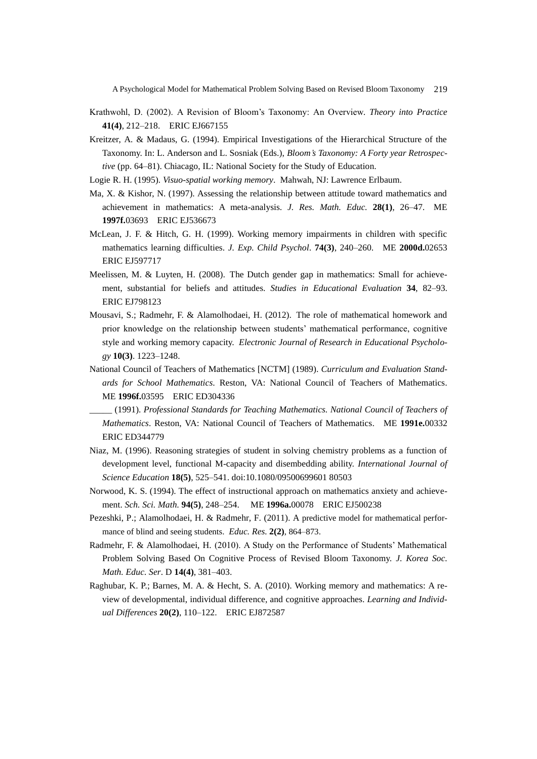- Krathwohl, D. (2002). A Revision of Bloom's Taxonomy: An Overview. *Theory into Practice* **41(4)**, 212–218. ERIC EJ667155
- Kreitzer, A. & Madaus, G. (1994). Empirical Investigations of the Hierarchical Structure of the Taxonomy. In: L. Anderson and L. Sosniak (Eds.), *Bloom's Taxonomy: A Forty year Retrospective* (pp. 64–81). Chiacago, IL: National Society for the Study of Education.
- Logie R. H. (1995). *Visuo-spatial working memory*. Mahwah, NJ: Lawrence Erlbaum.
- Ma, X. & Kishor, N. (1997). Assessing the relationship between attitude toward mathematics and achievement in mathematics: A meta-analysis. *J. Res. Math. Educ.* **28(1)**, 26–47. [ME](http://www.zentralblatt-math.org/matheduc/en/?q=an%3A1997f.03693)  **[1997f.](http://www.zentralblatt-math.org/matheduc/en/?q=an%3A1997f.03693)**03693 ERIC EJ536673
- McLean, J. F. & Hitch, G. H. (1999). Working memory impairments in children with specific mathematics learning difficulties. *J. Exp. Child Psychol*. **74(3)**, 240–260. ME **[2000d.](http://www.zentralblatt-math.org/matheduc/en/?q=an%3A2000d.02653)**02653 ERIC EJ597717
- Meelissen, M. & Luyten, H. (2008). The Dutch gender gap in mathematics: Small for achievement, substantial for beliefs and attitudes. *Studies in Educational Evaluation* **34**, 82–93. ERIC EJ798123
- Mousavi, S.; Radmehr, F. & Alamolhodaei, H. (2012). The role of mathematical homework and prior knowledge on the relationship between students' mathematical performance, cognitive style and working memory capacity. *Electronic Journal of Research in Educational Psychology* **10(3)**. 1223–1248.
- National Council of Teachers of Mathematics [NCTM] (1989). *Curriculum and Evaluation Standards for School Mathematics*. Reston, VA: National Council of Teachers of Mathematics. ME **1996f.**03595 ERIC ED304336
- \_\_\_\_\_ (1991). *Professional Standards for Teaching Mathematics. National Council of Teachers of Mathematics*. Reston, VA: National Council of Teachers of Mathematics. ME **1991e.**00332 ERIC ED344779
- Niaz, M. (1996). Reasoning strategies of student in solving chemistry problems as a function of development level, functional M-capacity and disembedding ability. *International Journal of Science Education* **18(5)**, 525–541. doi:10.1080/09500699601 80503
- Norwood, K. S. (1994). The effect of instructional approach on mathematics anxiety and achievement. *Sch. Sci. Math.* **94(5)**, 248–254. ME **[1996a.](http://www.zentralblatt-math.org/matheduc/en/?q=an%3A1996a.00078)**00078 ERIC EJ500238
- Pezeshki, P.; Alamolhodaei, H. & Radmehr, F. (2011). A predictive model for mathematical performance of blind and seeing students. *Educ. Res.* **2(2)**, 864–873.
- Radmehr, F. & Alamolhodaei, H. (2010). A Study on the Performance of Students' Mathematical Problem Solving Based On Cognitive Process of Revised Bloom Taxonomy. *J. Korea Soc. Math. Educ. Ser*. D **14(4)**, 381–403.
- Raghubar, K. P.; Barnes, M. A. & Hecht, S. A. (2010). Working memory and mathematics: A review of developmental, individual difference, and cognitive approaches. *Learning and Individual Differences* **20(2)**, 110–122. ERIC EJ872587